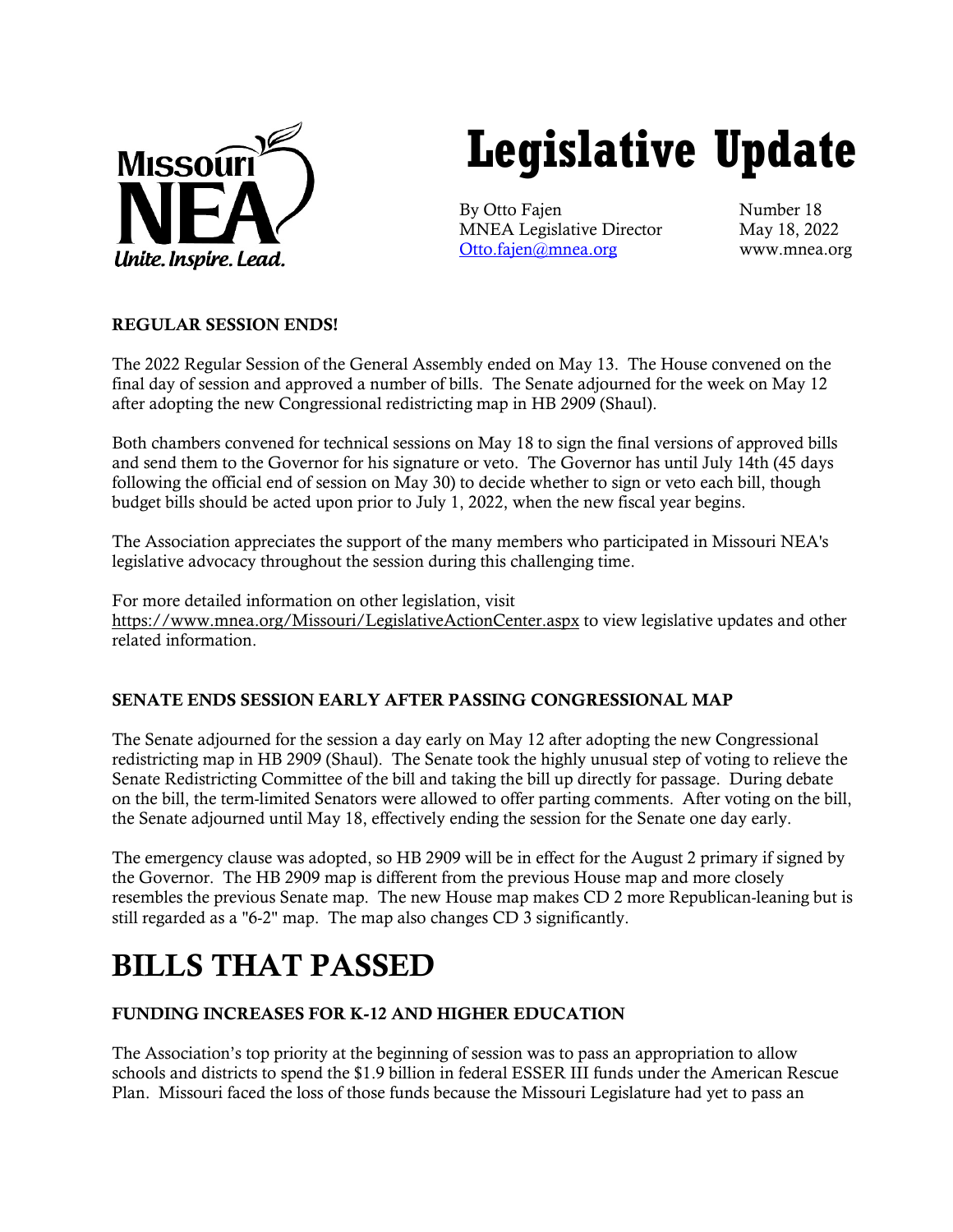

# **Legislative Update**

By Otto Fajen Number 18 MNEA Legislative Director May 18, 2022 [Otto.fajen@mnea.org](mailto:Otto.fajen@mnea.org) www.mnea.org

# REGULAR SESSION ENDS!

The 2022 Regular Session of the General Assembly ended on May 13. The House convened on the final day of session and approved a number of bills. The Senate adjourned for the week on May 12 after adopting the new Congressional redistricting map in HB 2909 (Shaul).

Both chambers convened for technical sessions on May 18 to sign the final versions of approved bills and send them to the Governor for his signature or veto. The Governor has until July 14th (45 days following the official end of session on May 30) to decide whether to sign or veto each bill, though budget bills should be acted upon prior to July 1, 2022, when the new fiscal year begins.

The Association appreciates the support of the many members who participated in Missouri NEA's legislative advocacy throughout the session during this challenging time.

For more detailed information on other legislation, visit <https://www.mnea.org/Missouri/LegislativeActionCenter.aspx> to view legislative updates and other related information.

### SENATE ENDS SESSION EARLY AFTER PASSING CONGRESSIONAL MAP

The Senate adjourned for the session a day early on May 12 after adopting the new Congressional redistricting map in HB 2909 (Shaul). The Senate took the highly unusual step of voting to relieve the Senate Redistricting Committee of the bill and taking the bill up directly for passage. During debate on the bill, the term-limited Senators were allowed to offer parting comments. After voting on the bill, the Senate adjourned until May 18, effectively ending the session for the Senate one day early.

The emergency clause was adopted, so HB 2909 will be in effect for the August 2 primary if signed by the Governor. The HB 2909 map is different from the previous House map and more closely resembles the previous Senate map. The new House map makes CD 2 more Republican-leaning but is still regarded as a "6-2" map. The map also changes CD 3 significantly.

# BILLS THAT PASSED

# FUNDING INCREASES FOR K-12 AND HIGHER EDUCATION

The Association's top priority at the beginning of session was to pass an appropriation to allow schools and districts to spend the \$1.9 billion in federal ESSER III funds under the American Rescue Plan. Missouri faced the loss of those funds because the Missouri Legislature had yet to pass an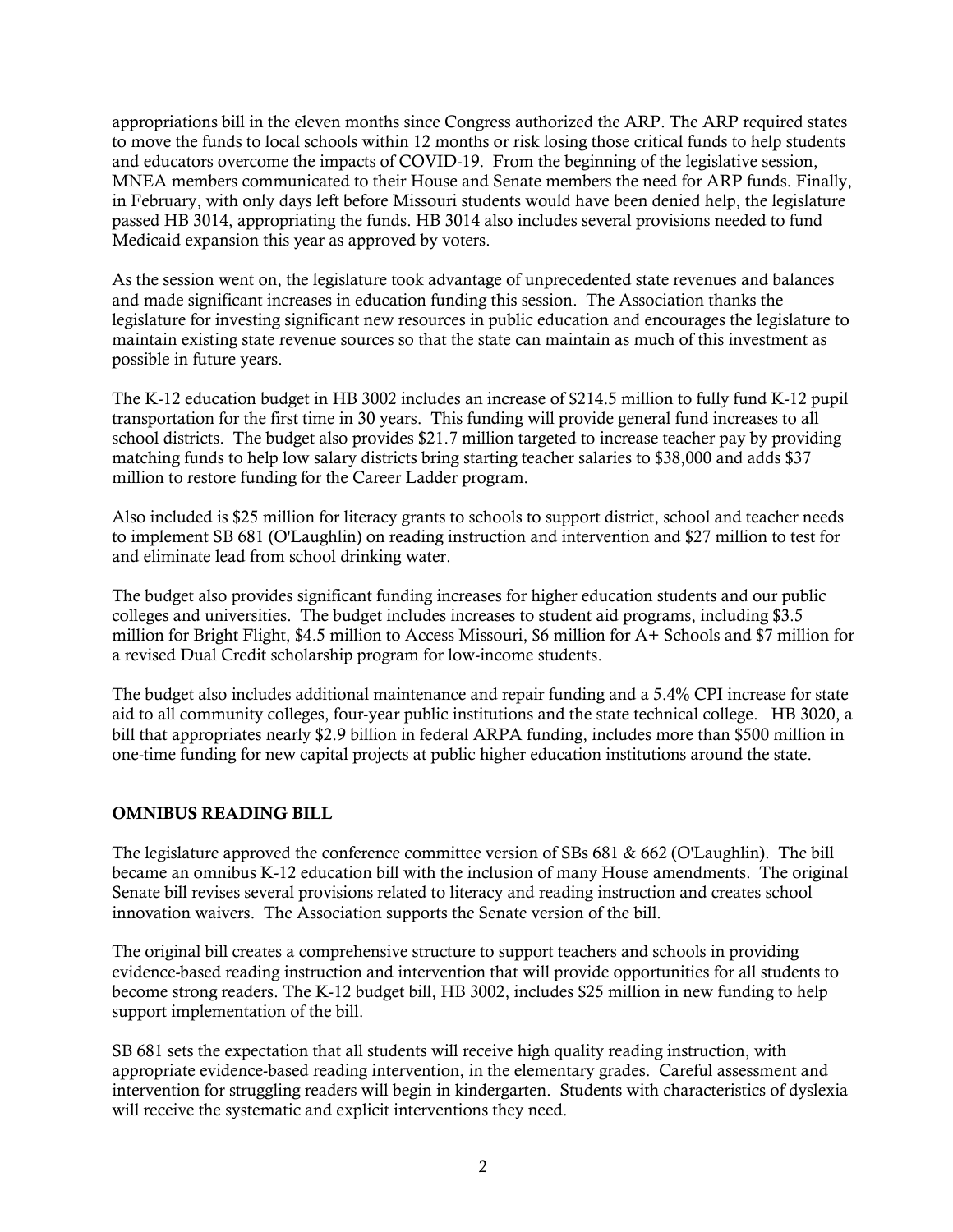appropriations bill in the eleven months since Congress authorized the ARP. The ARP required states to move the funds to local schools within 12 months or risk losing those critical funds to help students and educators overcome the impacts of COVID-19. From the beginning of the legislative session, MNEA members communicated to their House and Senate members the need for ARP funds. Finally, in February, with only days left before Missouri students would have been denied help, the legislature passed HB 3014, appropriating the funds. HB 3014 also includes several provisions needed to fund Medicaid expansion this year as approved by voters.

As the session went on, the legislature took advantage of unprecedented state revenues and balances and made significant increases in education funding this session. The Association thanks the legislature for investing significant new resources in public education and encourages the legislature to maintain existing state revenue sources so that the state can maintain as much of this investment as possible in future years.

The K-12 education budget in HB 3002 includes an increase of \$214.5 million to fully fund K-12 pupil transportation for the first time in 30 years. This funding will provide general fund increases to all school districts. The budget also provides \$21.7 million targeted to increase teacher pay by providing matching funds to help low salary districts bring starting teacher salaries to \$38,000 and adds \$37 million to restore funding for the Career Ladder program.

Also included is \$25 million for literacy grants to schools to support district, school and teacher needs to implement SB 681 (O'Laughlin) on reading instruction and intervention and \$27 million to test for and eliminate lead from school drinking water.

The budget also provides significant funding increases for higher education students and our public colleges and universities. The budget includes increases to student aid programs, including \$3.5 million for Bright Flight, \$4.5 million to Access Missouri, \$6 million for A+ Schools and \$7 million for a revised Dual Credit scholarship program for low-income students.

The budget also includes additional maintenance and repair funding and a 5.4% CPI increase for state aid to all community colleges, four-year public institutions and the state technical college. HB 3020, a bill that appropriates nearly \$2.9 billion in federal ARPA funding, includes more than \$500 million in one-time funding for new capital projects at public higher education institutions around the state.

### OMNIBUS READING BILL

The legislature approved the conference committee version of SBs 681 & 662 (O'Laughlin). The bill became an omnibus K-12 education bill with the inclusion of many House amendments. The original Senate bill revises several provisions related to literacy and reading instruction and creates school innovation waivers. The Association supports the Senate version of the bill.

The original bill creates a comprehensive structure to support teachers and schools in providing evidence-based reading instruction and intervention that will provide opportunities for all students to become strong readers. The K-12 budget bill, HB 3002, includes \$25 million in new funding to help support implementation of the bill.

SB 681 sets the expectation that all students will receive high quality reading instruction, with appropriate evidence-based reading intervention, in the elementary grades. Careful assessment and intervention for struggling readers will begin in kindergarten. Students with characteristics of dyslexia will receive the systematic and explicit interventions they need.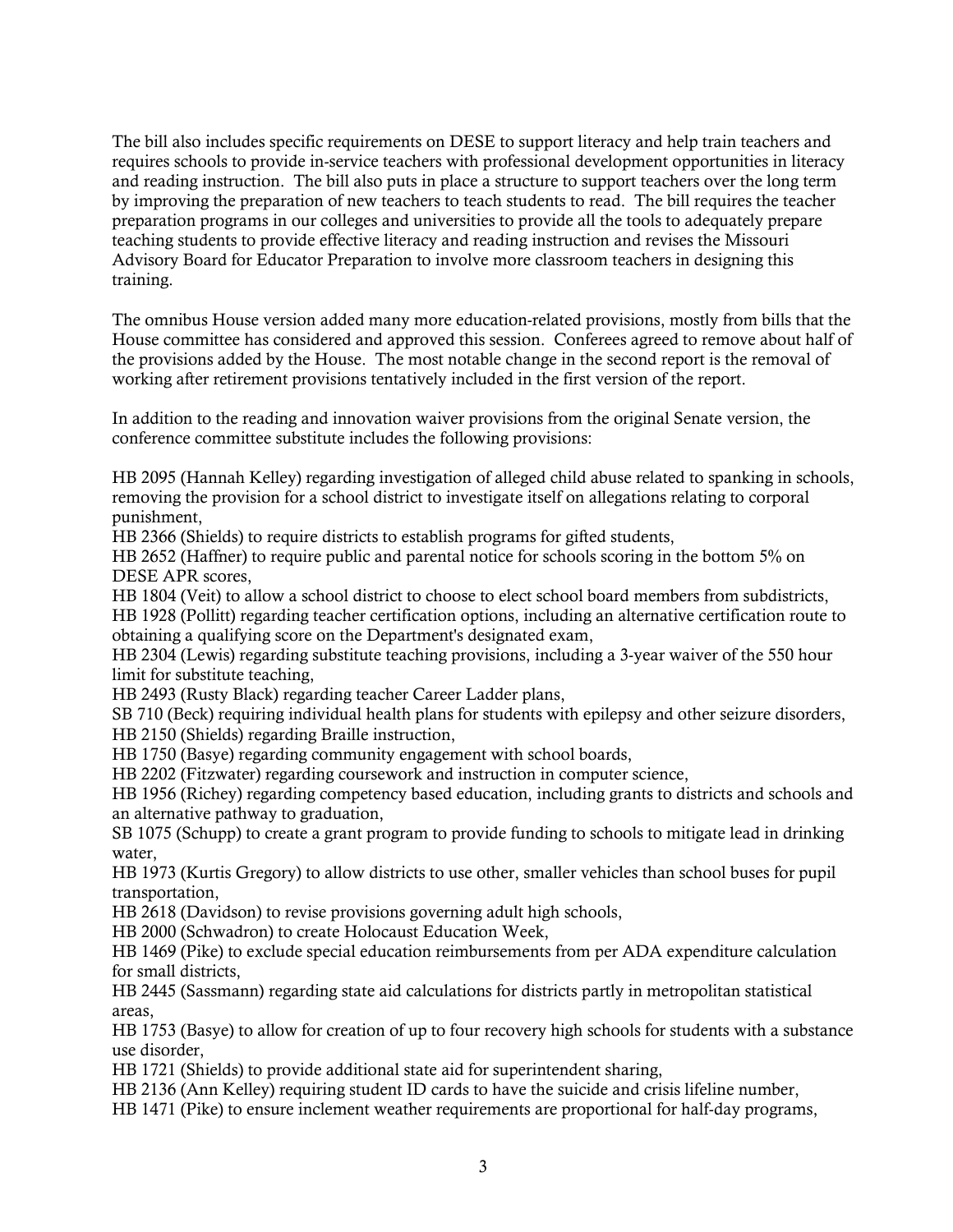The bill also includes specific requirements on DESE to support literacy and help train teachers and requires schools to provide in-service teachers with professional development opportunities in literacy and reading instruction. The bill also puts in place a structure to support teachers over the long term by improving the preparation of new teachers to teach students to read. The bill requires the teacher preparation programs in our colleges and universities to provide all the tools to adequately prepare teaching students to provide effective literacy and reading instruction and revises the Missouri Advisory Board for Educator Preparation to involve more classroom teachers in designing this training.

The omnibus House version added many more education-related provisions, mostly from bills that the House committee has considered and approved this session. Conferees agreed to remove about half of the provisions added by the House. The most notable change in the second report is the removal of working after retirement provisions tentatively included in the first version of the report.

In addition to the reading and innovation waiver provisions from the original Senate version, the conference committee substitute includes the following provisions:

HB 2095 (Hannah Kelley) regarding investigation of alleged child abuse related to spanking in schools, removing the provision for a school district to investigate itself on allegations relating to corporal punishment,

HB 2366 (Shields) to require districts to establish programs for gifted students,

HB 2652 (Haffner) to require public and parental notice for schools scoring in the bottom 5% on DESE APR scores,

HB 1804 (Veit) to allow a school district to choose to elect school board members from subdistricts,

HB 1928 (Pollitt) regarding teacher certification options, including an alternative certification route to obtaining a qualifying score on the Department's designated exam,

HB 2304 (Lewis) regarding substitute teaching provisions, including a 3-year waiver of the 550 hour limit for substitute teaching,

HB 2493 (Rusty Black) regarding teacher Career Ladder plans,

SB 710 (Beck) requiring individual health plans for students with epilepsy and other seizure disorders,

HB 2150 (Shields) regarding Braille instruction,

HB 1750 (Basye) regarding community engagement with school boards,

HB 2202 (Fitzwater) regarding coursework and instruction in computer science,

HB 1956 (Richey) regarding competency based education, including grants to districts and schools and an alternative pathway to graduation,

SB 1075 (Schupp) to create a grant program to provide funding to schools to mitigate lead in drinking water,

HB 1973 (Kurtis Gregory) to allow districts to use other, smaller vehicles than school buses for pupil transportation,

HB 2618 (Davidson) to revise provisions governing adult high schools,

HB 2000 (Schwadron) to create Holocaust Education Week,

HB 1469 (Pike) to exclude special education reimbursements from per ADA expenditure calculation for small districts,

HB 2445 (Sassmann) regarding state aid calculations for districts partly in metropolitan statistical areas,

HB 1753 (Basye) to allow for creation of up to four recovery high schools for students with a substance use disorder,

HB 1721 (Shields) to provide additional state aid for superintendent sharing,

HB 2136 (Ann Kelley) requiring student ID cards to have the suicide and crisis lifeline number,

HB 1471 (Pike) to ensure inclement weather requirements are proportional for half-day programs,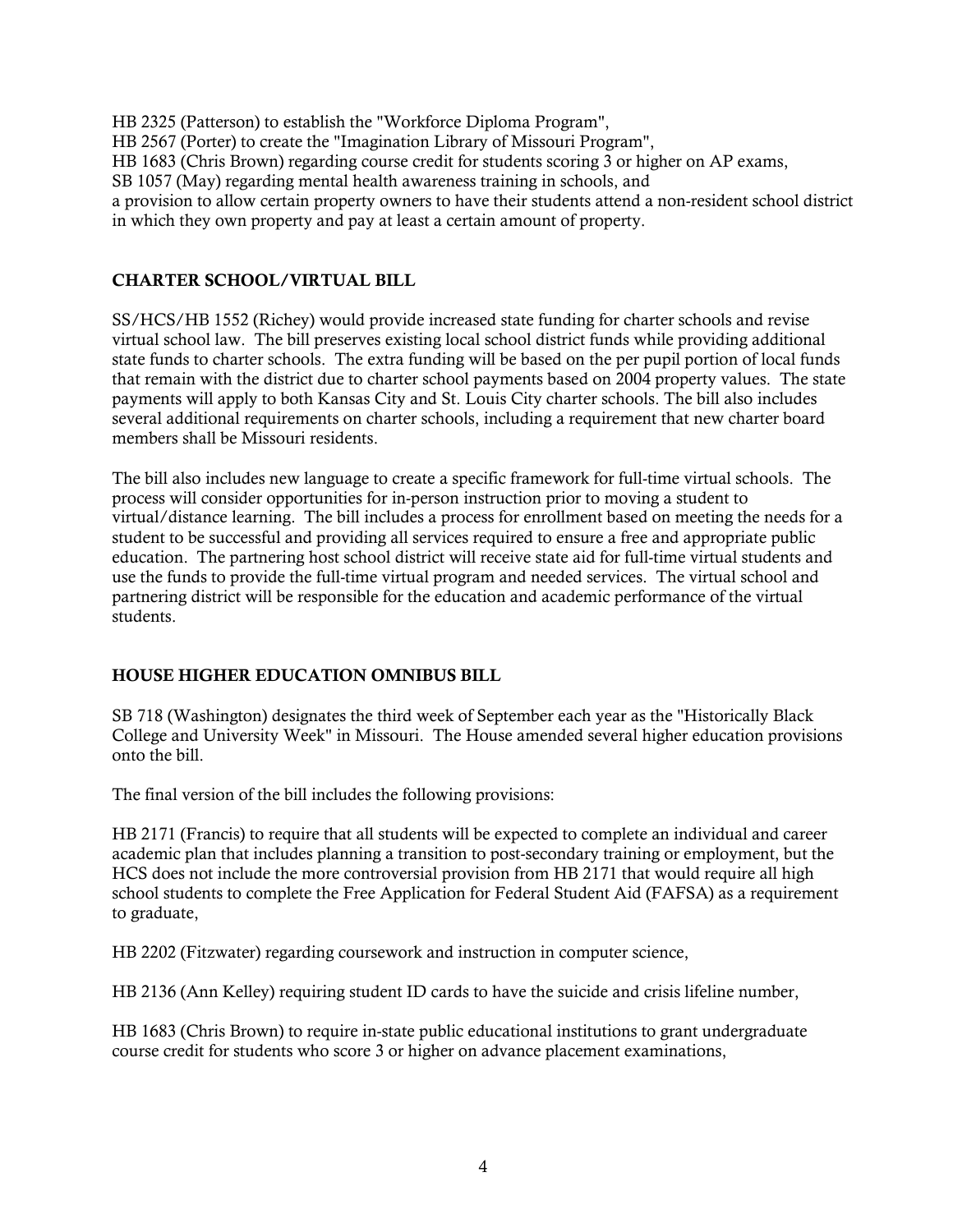HB 2325 (Patterson) to establish the "Workforce Diploma Program", HB 2567 (Porter) to create the "Imagination Library of Missouri Program", HB 1683 (Chris Brown) regarding course credit for students scoring 3 or higher on AP exams, SB 1057 (May) regarding mental health awareness training in schools, and a provision to allow certain property owners to have their students attend a non-resident school district in which they own property and pay at least a certain amount of property.

### CHARTER SCHOOL/VIRTUAL BILL

SS/HCS/HB 1552 (Richey) would provide increased state funding for charter schools and revise virtual school law. The bill preserves existing local school district funds while providing additional state funds to charter schools. The extra funding will be based on the per pupil portion of local funds that remain with the district due to charter school payments based on 2004 property values. The state payments will apply to both Kansas City and St. Louis City charter schools. The bill also includes several additional requirements on charter schools, including a requirement that new charter board members shall be Missouri residents.

The bill also includes new language to create a specific framework for full-time virtual schools. The process will consider opportunities for in-person instruction prior to moving a student to virtual/distance learning. The bill includes a process for enrollment based on meeting the needs for a student to be successful and providing all services required to ensure a free and appropriate public education. The partnering host school district will receive state aid for full-time virtual students and use the funds to provide the full-time virtual program and needed services. The virtual school and partnering district will be responsible for the education and academic performance of the virtual students.

### HOUSE HIGHER EDUCATION OMNIBUS BILL

SB 718 (Washington) designates the third week of September each year as the "Historically Black College and University Week" in Missouri. The House amended several higher education provisions onto the bill.

The final version of the bill includes the following provisions:

HB 2171 (Francis) to require that all students will be expected to complete an individual and career academic plan that includes planning a transition to post-secondary training or employment, but the HCS does not include the more controversial provision from HB 2171 that would require all high school students to complete the Free Application for Federal Student Aid (FAFSA) as a requirement to graduate,

HB 2202 (Fitzwater) regarding coursework and instruction in computer science,

HB 2136 (Ann Kelley) requiring student ID cards to have the suicide and crisis lifeline number,

HB 1683 (Chris Brown) to require in-state public educational institutions to grant undergraduate course credit for students who score 3 or higher on advance placement examinations,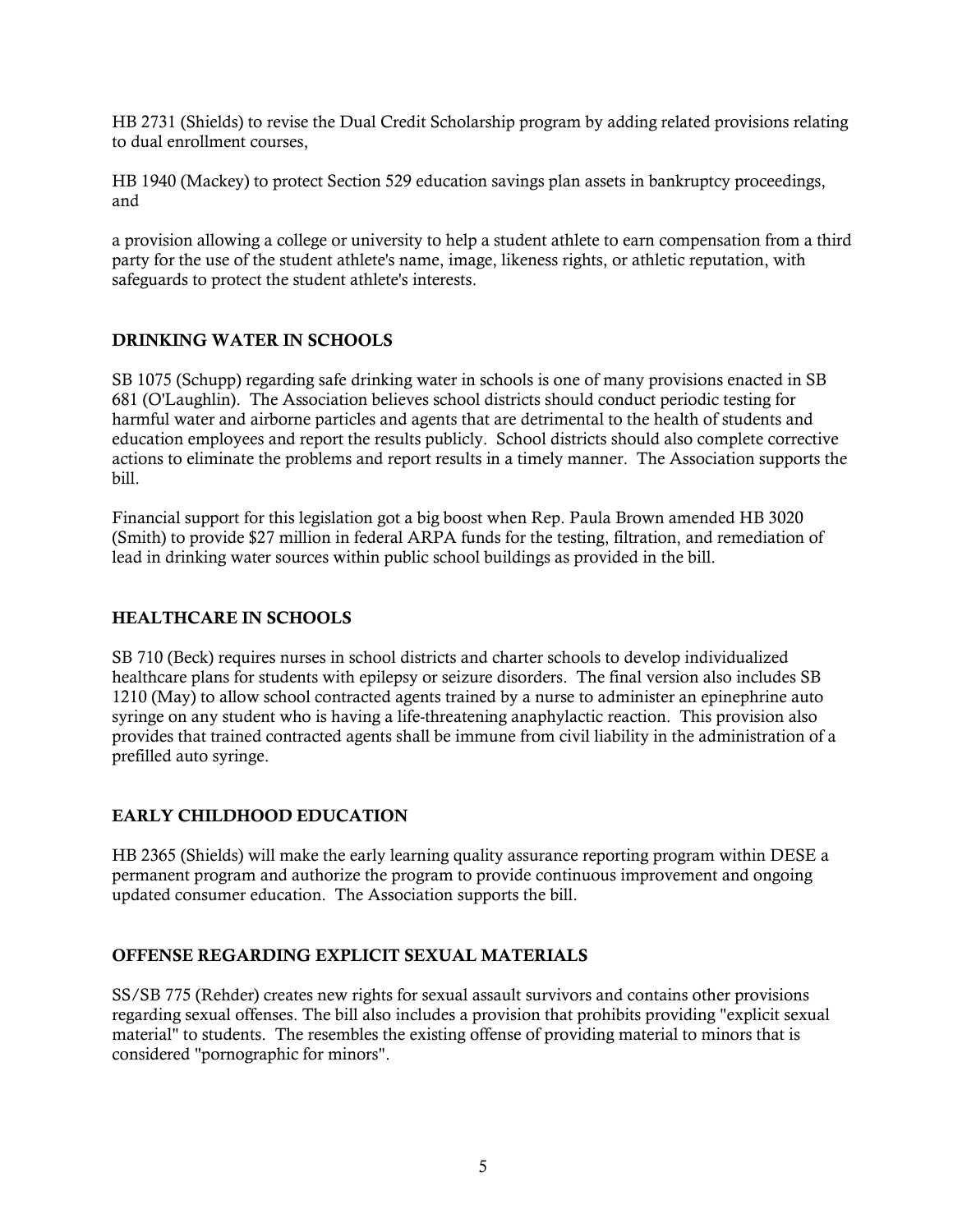HB 2731 (Shields) to revise the Dual Credit Scholarship program by adding related provisions relating to dual enrollment courses,

HB 1940 (Mackey) to protect Section 529 education savings plan assets in bankruptcy proceedings, and

a provision allowing a college or university to help a student athlete to earn compensation from a third party for the use of the student athlete's name, image, likeness rights, or athletic reputation, with safeguards to protect the student athlete's interests.

### DRINKING WATER IN SCHOOLS

SB 1075 (Schupp) regarding safe drinking water in schools is one of many provisions enacted in SB 681 (O'Laughlin). The Association believes school districts should conduct periodic testing for harmful water and airborne particles and agents that are detrimental to the health of students and education employees and report the results publicly. School districts should also complete corrective actions to eliminate the problems and report results in a timely manner. The Association supports the bill.

Financial support for this legislation got a big boost when Rep. Paula Brown amended HB 3020 (Smith) to provide \$27 million in federal ARPA funds for the testing, filtration, and remediation of lead in drinking water sources within public school buildings as provided in the bill.

### HEALTHCARE IN SCHOOLS

SB 710 (Beck) requires nurses in school districts and charter schools to develop individualized healthcare plans for students with epilepsy or seizure disorders. The final version also includes SB 1210 (May) to allow school contracted agents trained by a nurse to administer an epinephrine auto syringe on any student who is having a life-threatening anaphylactic reaction. This provision also provides that trained contracted agents shall be immune from civil liability in the administration of a prefilled auto syringe.

### EARLY CHILDHOOD EDUCATION

HB 2365 (Shields) will make the early learning quality assurance reporting program within DESE a permanent program and authorize the program to provide continuous improvement and ongoing updated consumer education. The Association supports the bill.

#### OFFENSE REGARDING EXPLICIT SEXUAL MATERIALS

SS/SB 775 (Rehder) creates new rights for sexual assault survivors and contains other provisions regarding sexual offenses. The bill also includes a provision that prohibits providing "explicit sexual material" to students. The resembles the existing offense of providing material to minors that is considered "pornographic for minors".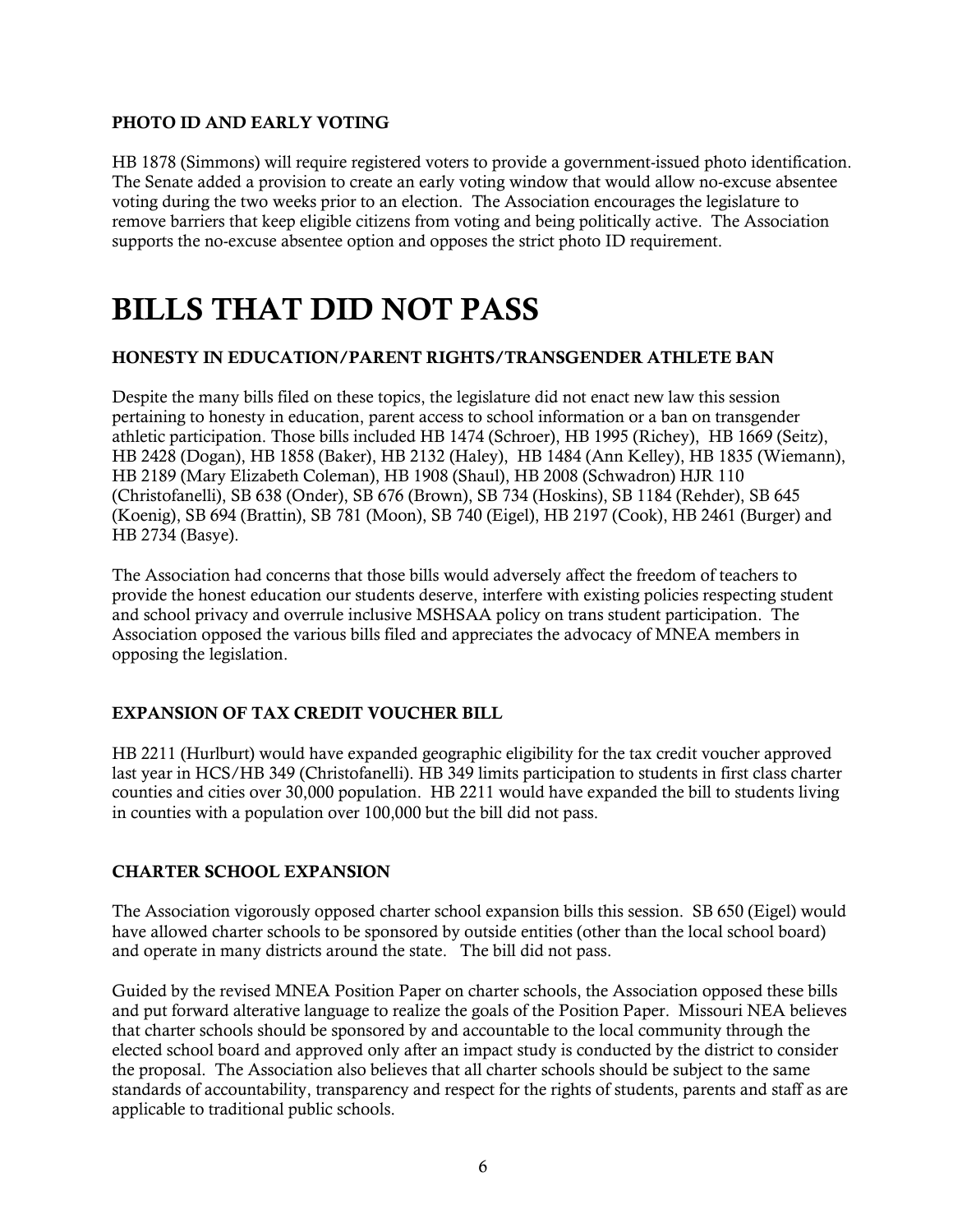#### PHOTO ID AND EARLY VOTING

HB 1878 (Simmons) will require registered voters to provide a government-issued photo identification. The Senate added a provision to create an early voting window that would allow no-excuse absentee voting during the two weeks prior to an election. The Association encourages the legislature to remove barriers that keep eligible citizens from voting and being politically active. The Association supports the no-excuse absentee option and opposes the strict photo ID requirement.

# BILLS THAT DID NOT PASS

### HONESTY IN EDUCATION/PARENT RIGHTS/TRANSGENDER ATHLETE BAN

Despite the many bills filed on these topics, the legislature did not enact new law this session pertaining to honesty in education, parent access to school information or a ban on transgender athletic participation. Those bills included HB 1474 (Schroer), HB 1995 (Richey), HB 1669 (Seitz), HB 2428 (Dogan), HB 1858 (Baker), HB 2132 (Haley), HB 1484 (Ann Kelley), HB 1835 (Wiemann), HB 2189 (Mary Elizabeth Coleman), HB 1908 (Shaul), HB 2008 (Schwadron) HJR 110 (Christofanelli), SB 638 (Onder), SB 676 (Brown), SB 734 (Hoskins), SB 1184 (Rehder), SB 645 (Koenig), SB 694 (Brattin), SB 781 (Moon), SB 740 (Eigel), HB 2197 (Cook), HB 2461 (Burger) and HB 2734 (Basye).

The Association had concerns that those bills would adversely affect the freedom of teachers to provide the honest education our students deserve, interfere with existing policies respecting student and school privacy and overrule inclusive MSHSAA policy on trans student participation. The Association opposed the various bills filed and appreciates the advocacy of MNEA members in opposing the legislation.

### EXPANSION OF TAX CREDIT VOUCHER BILL

HB 2211 (Hurlburt) would have expanded geographic eligibility for the tax credit voucher approved last year in HCS/HB 349 (Christofanelli). HB 349 limits participation to students in first class charter counties and cities over 30,000 population. HB 2211 would have expanded the bill to students living in counties with a population over 100,000 but the bill did not pass.

#### CHARTER SCHOOL EXPANSION

The Association vigorously opposed charter school expansion bills this session. SB 650 (Eigel) would have allowed charter schools to be sponsored by outside entities (other than the local school board) and operate in many districts around the state. The bill did not pass.

Guided by the revised MNEA Position Paper on charter schools, the Association opposed these bills and put forward alterative language to realize the goals of the Position Paper. Missouri NEA believes that charter schools should be sponsored by and accountable to the local community through the elected school board and approved only after an impact study is conducted by the district to consider the proposal. The Association also believes that all charter schools should be subject to the same standards of accountability, transparency and respect for the rights of students, parents and staff as are applicable to traditional public schools.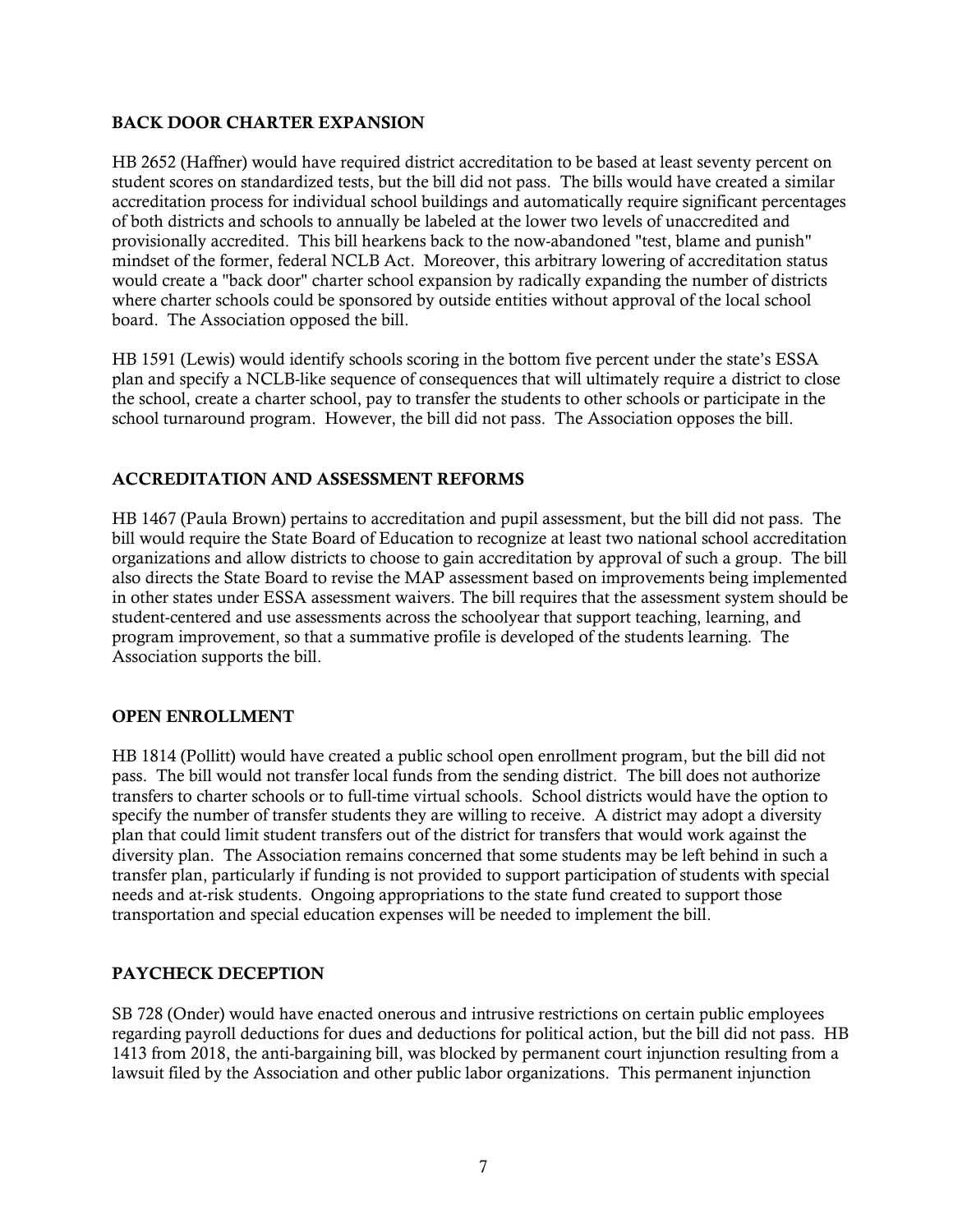### BACK DOOR CHARTER EXPANSION

HB 2652 (Haffner) would have required district accreditation to be based at least seventy percent on student scores on standardized tests, but the bill did not pass. The bills would have created a similar accreditation process for individual school buildings and automatically require significant percentages of both districts and schools to annually be labeled at the lower two levels of unaccredited and provisionally accredited. This bill hearkens back to the now-abandoned "test, blame and punish" mindset of the former, federal NCLB Act. Moreover, this arbitrary lowering of accreditation status would create a "back door" charter school expansion by radically expanding the number of districts where charter schools could be sponsored by outside entities without approval of the local school board. The Association opposed the bill.

HB 1591 (Lewis) would identify schools scoring in the bottom five percent under the state's ESSA plan and specify a NCLB-like sequence of consequences that will ultimately require a district to close the school, create a charter school, pay to transfer the students to other schools or participate in the school turnaround program. However, the bill did not pass. The Association opposes the bill.

# ACCREDITATION AND ASSESSMENT REFORMS

HB 1467 (Paula Brown) pertains to accreditation and pupil assessment, but the bill did not pass. The bill would require the State Board of Education to recognize at least two national school accreditation organizations and allow districts to choose to gain accreditation by approval of such a group. The bill also directs the State Board to revise the MAP assessment based on improvements being implemented in other states under ESSA assessment waivers. The bill requires that the assessment system should be student-centered and use assessments across the schoolyear that support teaching, learning, and program improvement, so that a summative profile is developed of the students learning. The Association supports the bill.

### OPEN ENROLLMENT

HB 1814 (Pollitt) would have created a public school open enrollment program, but the bill did not pass. The bill would not transfer local funds from the sending district. The bill does not authorize transfers to charter schools or to full-time virtual schools. School districts would have the option to specify the number of transfer students they are willing to receive. A district may adopt a diversity plan that could limit student transfers out of the district for transfers that would work against the diversity plan. The Association remains concerned that some students may be left behind in such a transfer plan, particularly if funding is not provided to support participation of students with special needs and at-risk students. Ongoing appropriations to the state fund created to support those transportation and special education expenses will be needed to implement the bill.

### PAYCHECK DECEPTION

SB 728 (Onder) would have enacted onerous and intrusive restrictions on certain public employees regarding payroll deductions for dues and deductions for political action, but the bill did not pass. HB 1413 from 2018, the anti-bargaining bill, was blocked by permanent court injunction resulting from a lawsuit filed by the Association and other public labor organizations. This permanent injunction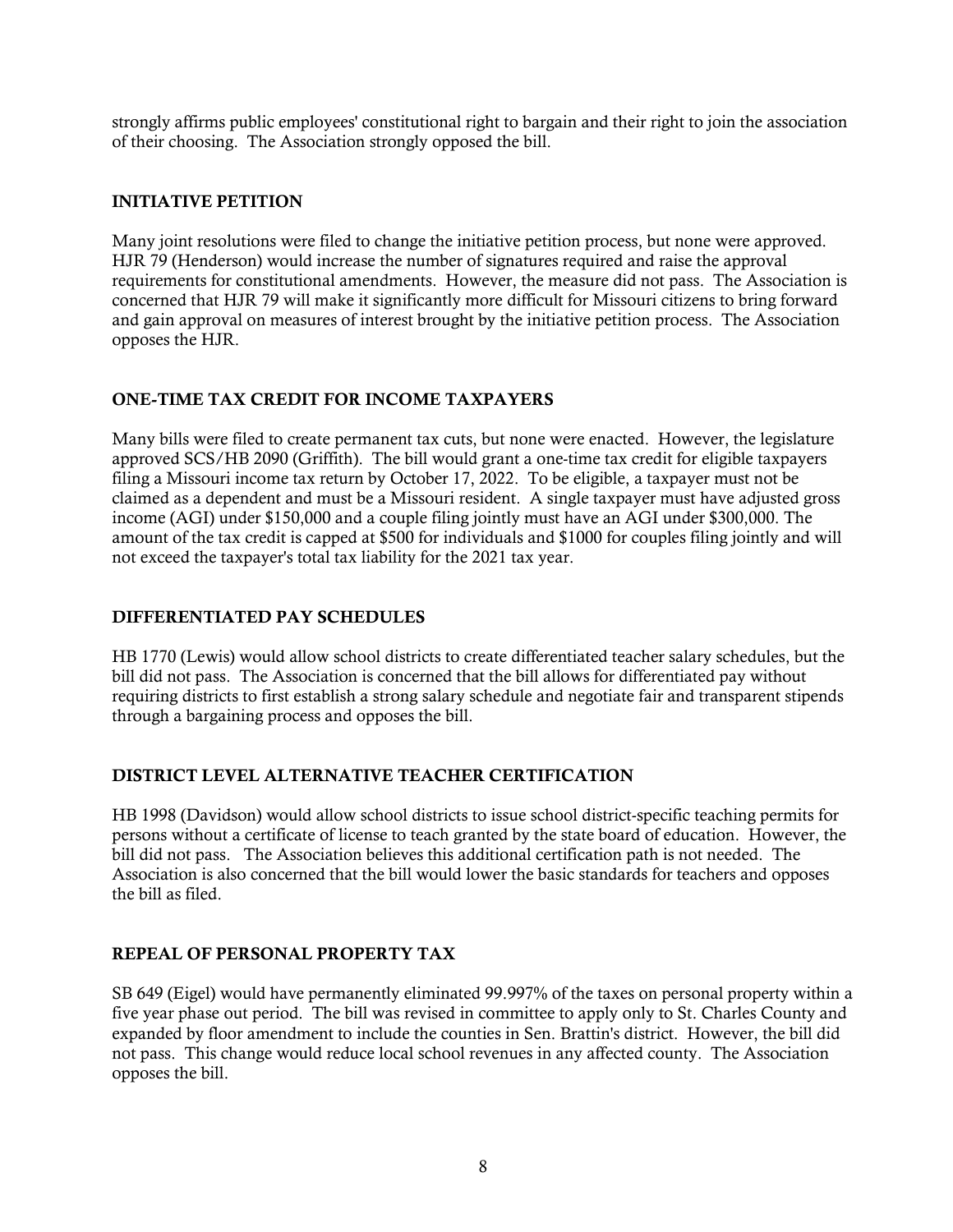strongly affirms public employees' constitutional right to bargain and their right to join the association of their choosing. The Association strongly opposed the bill.

#### INITIATIVE PETITION

Many joint resolutions were filed to change the initiative petition process, but none were approved. HJR 79 (Henderson) would increase the number of signatures required and raise the approval requirements for constitutional amendments. However, the measure did not pass. The Association is concerned that HJR 79 will make it significantly more difficult for Missouri citizens to bring forward and gain approval on measures of interest brought by the initiative petition process. The Association opposes the HJR.

### ONE-TIME TAX CREDIT FOR INCOME TAXPAYERS

Many bills were filed to create permanent tax cuts, but none were enacted. However, the legislature approved SCS/HB 2090 (Griffith). The bill would grant a one-time tax credit for eligible taxpayers filing a Missouri income tax return by October 17, 2022. To be eligible, a taxpayer must not be claimed as a dependent and must be a Missouri resident. A single taxpayer must have adjusted gross income (AGI) under \$150,000 and a couple filing jointly must have an AGI under \$300,000. The amount of the tax credit is capped at \$500 for individuals and \$1000 for couples filing jointly and will not exceed the taxpayer's total tax liability for the 2021 tax year.

#### DIFFERENTIATED PAY SCHEDULES

HB 1770 (Lewis) would allow school districts to create differentiated teacher salary schedules, but the bill did not pass. The Association is concerned that the bill allows for differentiated pay without requiring districts to first establish a strong salary schedule and negotiate fair and transparent stipends through a bargaining process and opposes the bill.

#### DISTRICT LEVEL ALTERNATIVE TEACHER CERTIFICATION

HB 1998 (Davidson) would allow school districts to issue school district-specific teaching permits for persons without a certificate of license to teach granted by the state board of education. However, the bill did not pass. The Association believes this additional certification path is not needed. The Association is also concerned that the bill would lower the basic standards for teachers and opposes the bill as filed.

#### REPEAL OF PERSONAL PROPERTY TAX

SB 649 (Eigel) would have permanently eliminated 99.997% of the taxes on personal property within a five year phase out period. The bill was revised in committee to apply only to St. Charles County and expanded by floor amendment to include the counties in Sen. Brattin's district. However, the bill did not pass. This change would reduce local school revenues in any affected county. The Association opposes the bill.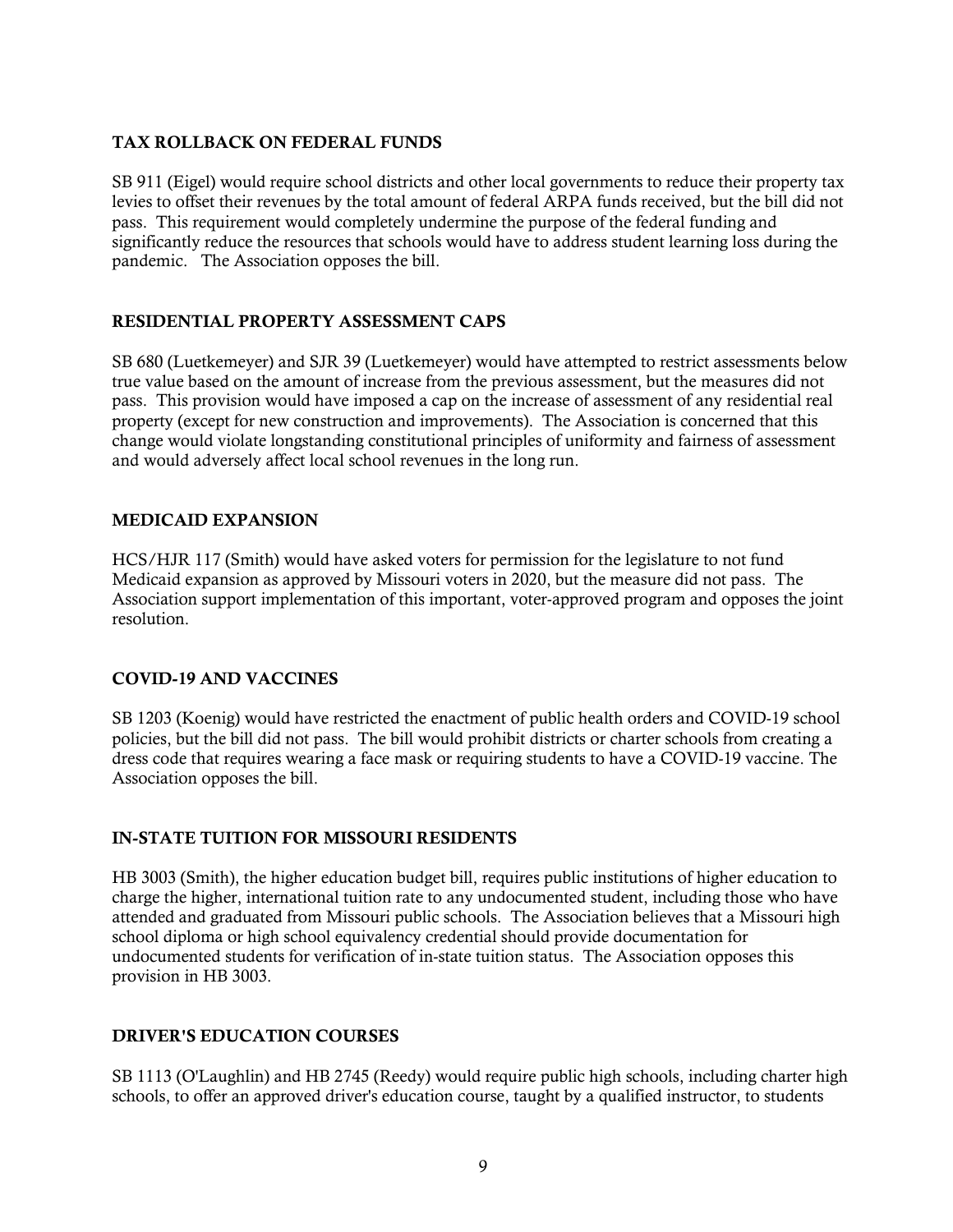### TAX ROLLBACK ON FEDERAL FUNDS

SB 911 (Eigel) would require school districts and other local governments to reduce their property tax levies to offset their revenues by the total amount of federal ARPA funds received, but the bill did not pass. This requirement would completely undermine the purpose of the federal funding and significantly reduce the resources that schools would have to address student learning loss during the pandemic. The Association opposes the bill.

# RESIDENTIAL PROPERTY ASSESSMENT CAPS

SB 680 (Luetkemeyer) and SJR 39 (Luetkemeyer) would have attempted to restrict assessments below true value based on the amount of increase from the previous assessment, but the measures did not pass. This provision would have imposed a cap on the increase of assessment of any residential real property (except for new construction and improvements). The Association is concerned that this change would violate longstanding constitutional principles of uniformity and fairness of assessment and would adversely affect local school revenues in the long run.

### MEDICAID EXPANSION

HCS/HJR 117 (Smith) would have asked voters for permission for the legislature to not fund Medicaid expansion as approved by Missouri voters in 2020, but the measure did not pass. The Association support implementation of this important, voter-approved program and opposes the joint resolution.

### COVID-19 AND VACCINES

SB 1203 (Koenig) would have restricted the enactment of public health orders and COVID-19 school policies, but the bill did not pass. The bill would prohibit districts or charter schools from creating a dress code that requires wearing a face mask or requiring students to have a COVID-19 vaccine. The Association opposes the bill.

### IN-STATE TUITION FOR MISSOURI RESIDENTS

HB 3003 (Smith), the higher education budget bill, requires public institutions of higher education to charge the higher, international tuition rate to any undocumented student, including those who have attended and graduated from Missouri public schools. The Association believes that a Missouri high school diploma or high school equivalency credential should provide documentation for undocumented students for verification of in-state tuition status. The Association opposes this provision in HB 3003.

### DRIVER'S EDUCATION COURSES

SB 1113 (O'Laughlin) and HB 2745 (Reedy) would require public high schools, including charter high schools, to offer an approved driver's education course, taught by a qualified instructor, to students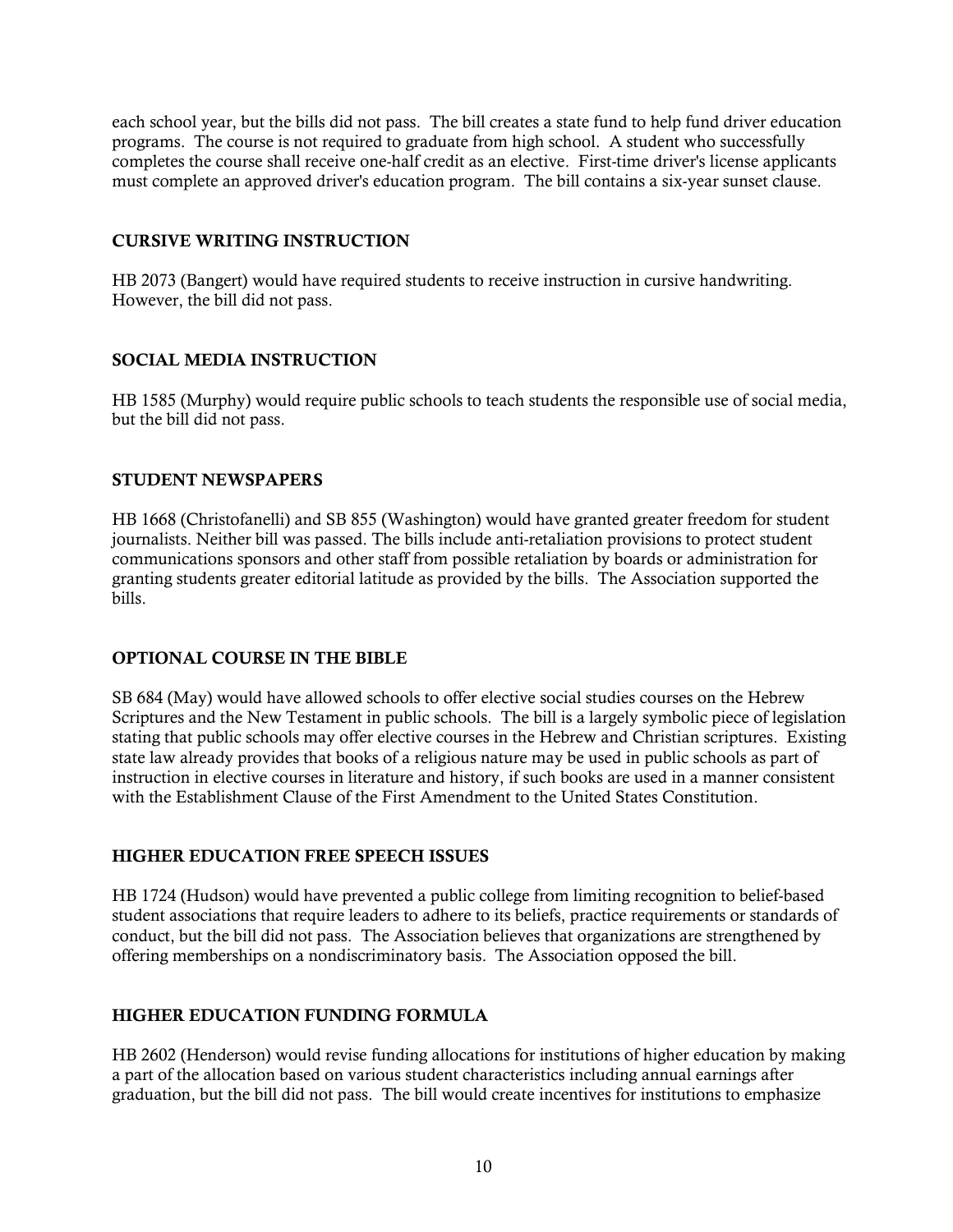each school year, but the bills did not pass. The bill creates a state fund to help fund driver education programs. The course is not required to graduate from high school. A student who successfully completes the course shall receive one-half credit as an elective. First-time driver's license applicants must complete an approved driver's education program. The bill contains a six-year sunset clause.

#### CURSIVE WRITING INSTRUCTION

HB 2073 (Bangert) would have required students to receive instruction in cursive handwriting. However, the bill did not pass.

#### SOCIAL MEDIA INSTRUCTION

HB 1585 (Murphy) would require public schools to teach students the responsible use of social media, but the bill did not pass.

#### STUDENT NEWSPAPERS

HB 1668 (Christofanelli) and SB 855 (Washington) would have granted greater freedom for student journalists. Neither bill was passed. The bills include anti-retaliation provisions to protect student communications sponsors and other staff from possible retaliation by boards or administration for granting students greater editorial latitude as provided by the bills. The Association supported the bills.

### OPTIONAL COURSE IN THE BIBLE

SB 684 (May) would have allowed schools to offer elective social studies courses on the Hebrew Scriptures and the New Testament in public schools. The bill is a largely symbolic piece of legislation stating that public schools may offer elective courses in the Hebrew and Christian scriptures. Existing state law already provides that books of a religious nature may be used in public schools as part of instruction in elective courses in literature and history, if such books are used in a manner consistent with the Establishment Clause of the First Amendment to the United States Constitution.

### HIGHER EDUCATION FREE SPEECH ISSUES

HB 1724 (Hudson) would have prevented a public college from limiting recognition to belief-based student associations that require leaders to adhere to its beliefs, practice requirements or standards of conduct, but the bill did not pass. The Association believes that organizations are strengthened by offering memberships on a nondiscriminatory basis. The Association opposed the bill.

### HIGHER EDUCATION FUNDING FORMULA

HB 2602 (Henderson) would revise funding allocations for institutions of higher education by making a part of the allocation based on various student characteristics including annual earnings after graduation, but the bill did not pass. The bill would create incentives for institutions to emphasize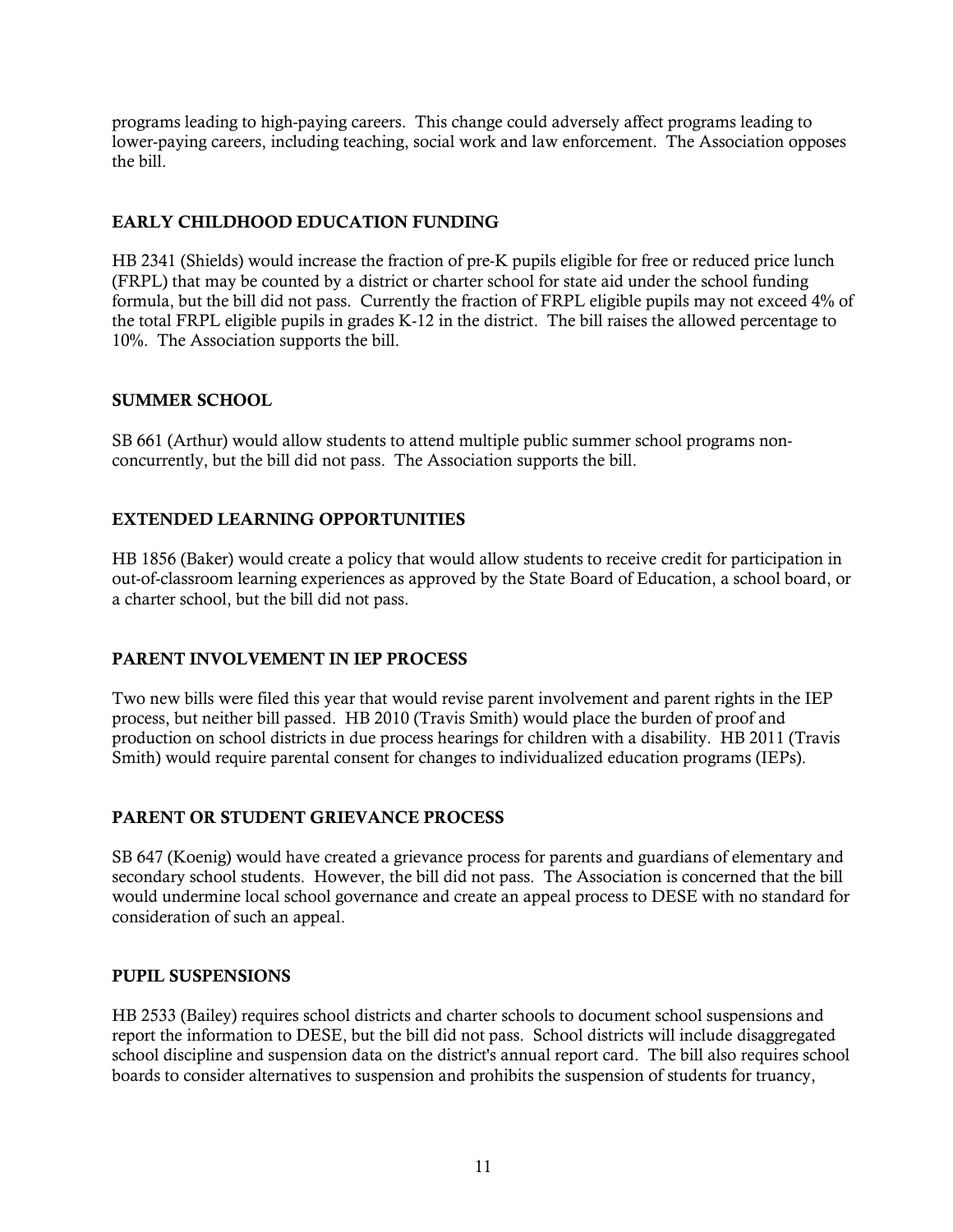programs leading to high-paying careers. This change could adversely affect programs leading to lower-paying careers, including teaching, social work and law enforcement. The Association opposes the bill.

# EARLY CHILDHOOD EDUCATION FUNDING

HB 2341 (Shields) would increase the fraction of pre-K pupils eligible for free or reduced price lunch (FRPL) that may be counted by a district or charter school for state aid under the school funding formula, but the bill did not pass. Currently the fraction of FRPL eligible pupils may not exceed 4% of the total FRPL eligible pupils in grades K-12 in the district. The bill raises the allowed percentage to 10%. The Association supports the bill.

### SUMMER SCHOOL

SB 661 (Arthur) would allow students to attend multiple public summer school programs nonconcurrently, but the bill did not pass. The Association supports the bill.

### EXTENDED LEARNING OPPORTUNITIES

HB 1856 (Baker) would create a policy that would allow students to receive credit for participation in out-of-classroom learning experiences as approved by the State Board of Education, a school board, or a charter school, but the bill did not pass.

### PARENT INVOLVEMENT IN IEP PROCESS

Two new bills were filed this year that would revise parent involvement and parent rights in the IEP process, but neither bill passed. HB 2010 (Travis Smith) would place the burden of proof and production on school districts in due process hearings for children with a disability. HB 2011 (Travis Smith) would require parental consent for changes to individualized education programs (IEPs).

### PARENT OR STUDENT GRIEVANCE PROCESS

SB 647 (Koenig) would have created a grievance process for parents and guardians of elementary and secondary school students. However, the bill did not pass. The Association is concerned that the bill would undermine local school governance and create an appeal process to DESE with no standard for consideration of such an appeal.

#### PUPIL SUSPENSIONS

HB 2533 (Bailey) requires school districts and charter schools to document school suspensions and report the information to DESE, but the bill did not pass. School districts will include disaggregated school discipline and suspension data on the district's annual report card. The bill also requires school boards to consider alternatives to suspension and prohibits the suspension of students for truancy,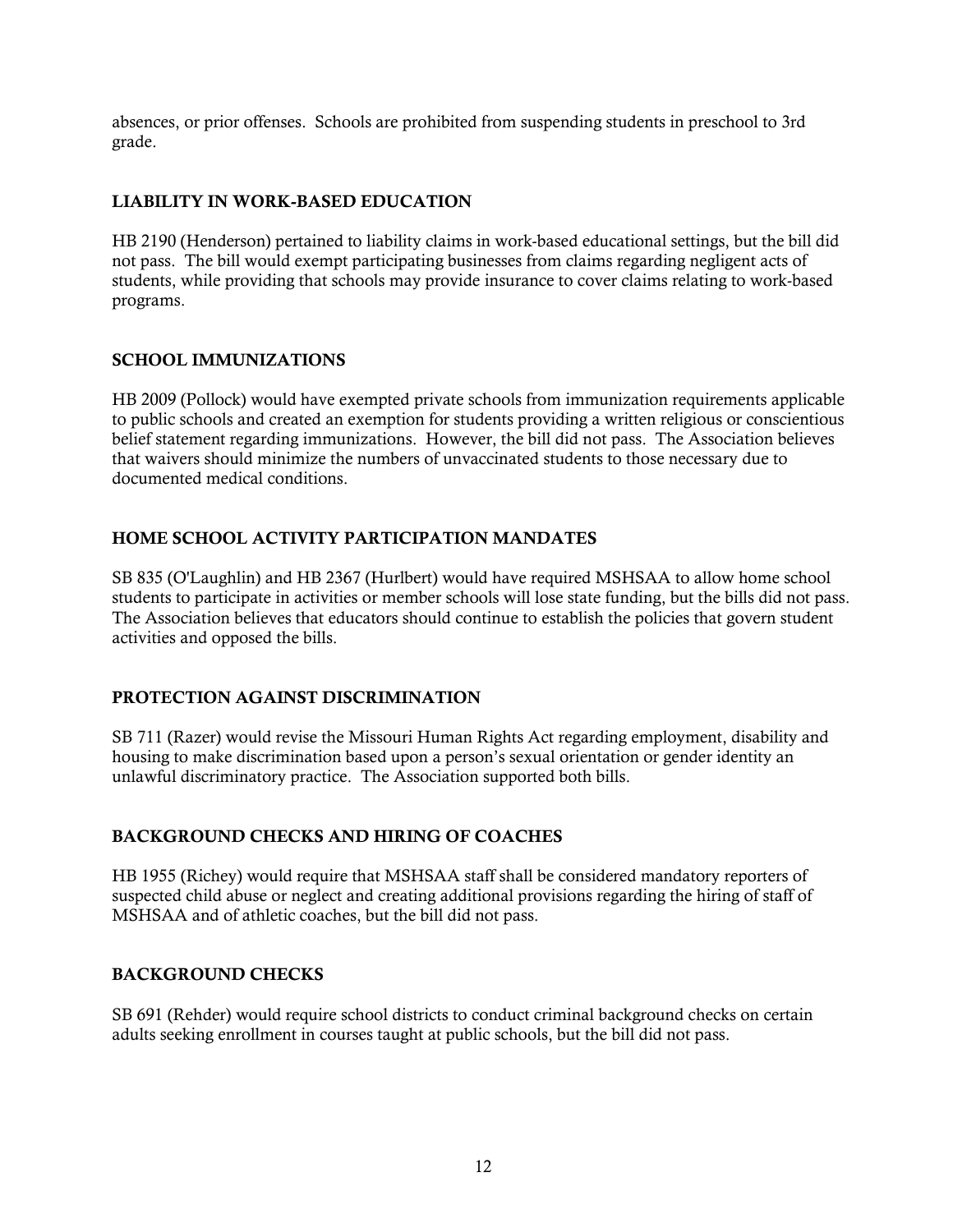absences, or prior offenses. Schools are prohibited from suspending students in preschool to 3rd grade.

### LIABILITY IN WORK-BASED EDUCATION

HB 2190 (Henderson) pertained to liability claims in work-based educational settings, but the bill did not pass. The bill would exempt participating businesses from claims regarding negligent acts of students, while providing that schools may provide insurance to cover claims relating to work-based programs.

# SCHOOL IMMUNIZATIONS

HB 2009 (Pollock) would have exempted private schools from immunization requirements applicable to public schools and created an exemption for students providing a written religious or conscientious belief statement regarding immunizations. However, the bill did not pass. The Association believes that waivers should minimize the numbers of unvaccinated students to those necessary due to documented medical conditions.

# HOME SCHOOL ACTIVITY PARTICIPATION MANDATES

SB 835 (O'Laughlin) and HB 2367 (Hurlbert) would have required MSHSAA to allow home school students to participate in activities or member schools will lose state funding, but the bills did not pass. The Association believes that educators should continue to establish the policies that govern student activities and opposed the bills.

# PROTECTION AGAINST DISCRIMINATION

SB 711 (Razer) would revise the Missouri Human Rights Act regarding employment, disability and housing to make discrimination based upon a person's sexual orientation or gender identity an unlawful discriminatory practice. The Association supported both bills.

### BACKGROUND CHECKS AND HIRING OF COACHES

HB 1955 (Richey) would require that MSHSAA staff shall be considered mandatory reporters of suspected child abuse or neglect and creating additional provisions regarding the hiring of staff of MSHSAA and of athletic coaches, but the bill did not pass.

### BACKGROUND CHECKS

SB 691 (Rehder) would require school districts to conduct criminal background checks on certain adults seeking enrollment in courses taught at public schools, but the bill did not pass.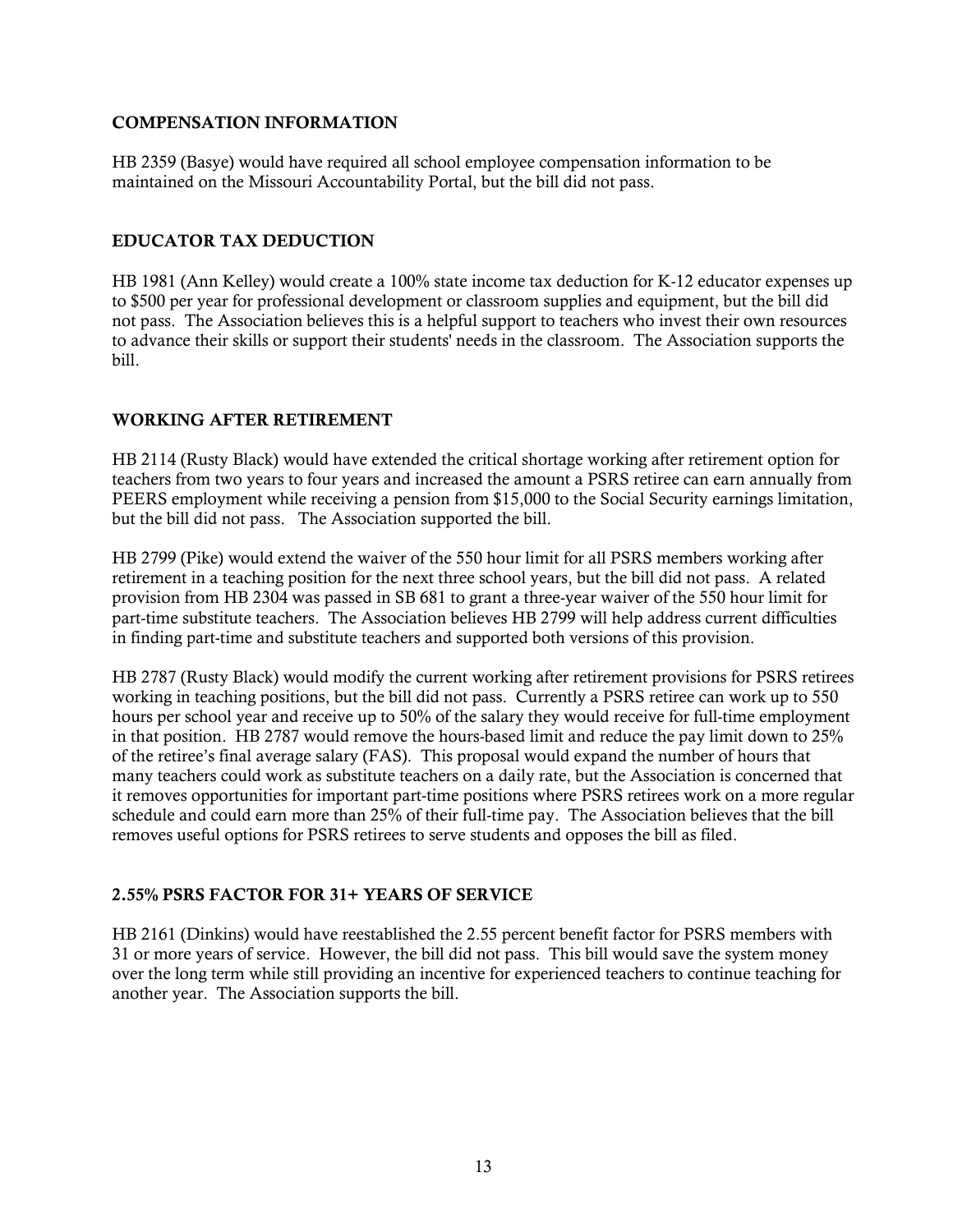#### COMPENSATION INFORMATION

HB 2359 (Basye) would have required all school employee compensation information to be maintained on the Missouri Accountability Portal, but the bill did not pass.

#### EDUCATOR TAX DEDUCTION

HB 1981 (Ann Kelley) would create a 100% state income tax deduction for K-12 educator expenses up to \$500 per year for professional development or classroom supplies and equipment, but the bill did not pass. The Association believes this is a helpful support to teachers who invest their own resources to advance their skills or support their students' needs in the classroom. The Association supports the bill.

### WORKING AFTER RETIREMENT

HB 2114 (Rusty Black) would have extended the critical shortage working after retirement option for teachers from two years to four years and increased the amount a PSRS retiree can earn annually from PEERS employment while receiving a pension from \$15,000 to the Social Security earnings limitation, but the bill did not pass. The Association supported the bill.

HB 2799 (Pike) would extend the waiver of the 550 hour limit for all PSRS members working after retirement in a teaching position for the next three school years, but the bill did not pass. A related provision from HB 2304 was passed in SB 681 to grant a three-year waiver of the 550 hour limit for part-time substitute teachers. The Association believes HB 2799 will help address current difficulties in finding part-time and substitute teachers and supported both versions of this provision.

HB 2787 (Rusty Black) would modify the current working after retirement provisions for PSRS retirees working in teaching positions, but the bill did not pass. Currently a PSRS retiree can work up to 550 hours per school year and receive up to 50% of the salary they would receive for full-time employment in that position. HB 2787 would remove the hours-based limit and reduce the pay limit down to 25% of the retiree's final average salary (FAS). This proposal would expand the number of hours that many teachers could work as substitute teachers on a daily rate, but the Association is concerned that it removes opportunities for important part-time positions where PSRS retirees work on a more regular schedule and could earn more than 25% of their full-time pay. The Association believes that the bill removes useful options for PSRS retirees to serve students and opposes the bill as filed.

### 2.55% PSRS FACTOR FOR 31+ YEARS OF SERVICE

HB 2161 (Dinkins) would have reestablished the 2.55 percent benefit factor for PSRS members with 31 or more years of service. However, the bill did not pass. This bill would save the system money over the long term while still providing an incentive for experienced teachers to continue teaching for another year. The Association supports the bill.